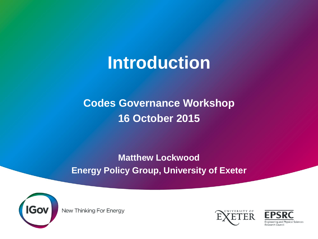# **Introduction**

#### **Codes Governance Workshop 16 October 2015**

#### **Matthew Lockwood Energy Policy Group, University of Exeter**



New Thinking For Energy



Engineering and Physical Sciences Research Counci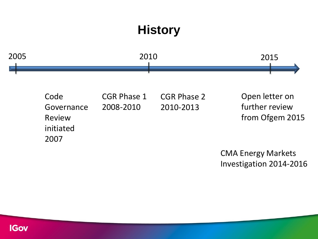### **History**



CMA Energy Markets Investigation 2014-2016

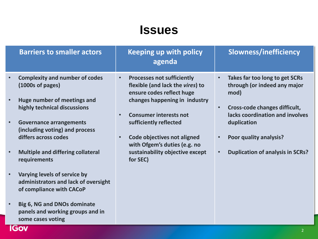#### **Issues**

| <b>Barriers to smaller actors</b>                                                                  | <b>Keeping up with policy</b><br>agenda                                                                                                          | <b>Slowness/inefficiency</b>                                                        |
|----------------------------------------------------------------------------------------------------|--------------------------------------------------------------------------------------------------------------------------------------------------|-------------------------------------------------------------------------------------|
| <b>Complexity and number of codes</b><br>$(1000s \text{ of pages})$<br>Huge number of meetings and | <b>Processes not sufficiently</b><br>$\bullet$<br>flexible (and lack the vires) to<br>ensure codes reflect huge<br>changes happening in industry | Takes far too long to get SCRs<br>$\bullet$<br>through (or indeed any major<br>mod) |
| highly technical discussions                                                                       | <b>Consumer interests not</b><br>$\bullet$                                                                                                       | Cross-code changes difficult,<br>$\bullet$<br>lacks coordination and involves       |
| <b>Governance arrangements</b><br>(including voting) and process                                   | sufficiently reflected                                                                                                                           | duplication                                                                         |
| differs across codes                                                                               | <b>Code objectives not aligned</b><br>$\bullet$<br>with Ofgem's duties (e.g. no                                                                  | Poor quality analysis?<br>$\bullet$                                                 |
| <b>Multiple and differing collateral</b><br>requirements                                           | sustainability objective except<br>for SEC)                                                                                                      | <b>Duplication of analysis in SCRs?</b><br>$\bullet$                                |
| Varying levels of service by<br>administrators and lack of oversight<br>of compliance with CACoP   |                                                                                                                                                  |                                                                                     |
| <b>Big 6, NG and DNOs dominate</b><br>panels and working groups and in<br>some cases voting        |                                                                                                                                                  |                                                                                     |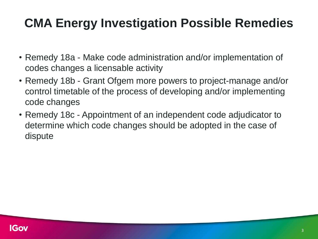#### **CMA Energy Investigation Possible Remedies**

- Remedy 18a Make code administration and/or implementation of codes changes a licensable activity
- Remedy 18b Grant Ofgem more powers to project-manage and/or control timetable of the process of developing and/or implementing code changes
- Remedy 18c Appointment of an independent code adjudicator to determine which code changes should be adopted in the case of dispute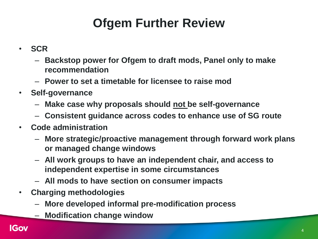# **Ofgem Further Review**

- **SCR**
	- **Backstop power for Ofgem to draft mods, Panel only to make recommendation**
	- **Power to set a timetable for licensee to raise mod**
- **Self-governance**
	- **Make case why proposals should not be self-governance**
	- **Consistent guidance across codes to enhance use of SG route**
- **Code administration**
	- **More strategic/proactive management through forward work plans or managed change windows**
	- **All work groups to have an independent chair, and access to independent expertise in some circumstances**
	- **All mods to have section on consumer impacts**
- **Charging methodologies**
	- **More developed informal pre-modification process**
	- **Modification change window**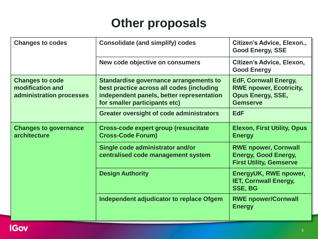#### **Other proposals**

| <b>Changes to codes</b>                                                | <b>Consolidate (and simplify) codes</b>                                                                                                                           | Citizen's Advice, Elexon.,<br><b>Good Energy, SSE</b>                                                         |
|------------------------------------------------------------------------|-------------------------------------------------------------------------------------------------------------------------------------------------------------------|---------------------------------------------------------------------------------------------------------------|
|                                                                        | New code objective on consumers                                                                                                                                   | Citizen's Advice, Elexon,<br><b>Good Energy</b>                                                               |
| <b>Changes to code</b><br>modification and<br>administration processes | Standardise governance arrangements to<br>best practice across all codes (including<br>independent panels, better representation<br>for smaller participants etc) | <b>EdF, Cornwall Energy,</b><br><b>RWE npower, Ecotricity,</b><br><b>Opus Energy, SSE,</b><br><b>Gemserve</b> |
|                                                                        | <b>Greater oversight of code administrators</b>                                                                                                                   | <b>EdF</b>                                                                                                    |
| <b>Changes to governance</b><br>architecture                           | <b>Cross-code expert group (resuscitate)</b><br><b>Cross-Code Forum)</b>                                                                                          | <b>Elexon, First Utility, Opus</b><br><b>Energy</b>                                                           |
|                                                                        | Single code administrator and/or<br>centralised code management system                                                                                            | <b>RWE npower, Cornwall</b><br><b>Energy, Good Energy,</b><br><b>First Utility, Gemserve</b>                  |
|                                                                        | <b>Design Authority</b>                                                                                                                                           | EnergyUK, RWE npower,<br><b>IET, Cornwall Energy,</b><br><b>SSE, BG</b>                                       |
|                                                                        | Independent adjudicator to replace Ofgem                                                                                                                          | <b>RWE npower/Cornwall</b><br><b>Energy</b>                                                                   |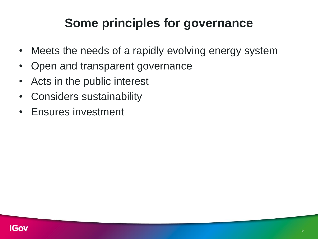#### **Some principles for governance**

- Meets the needs of a rapidly evolving energy system
- Open and transparent governance
- Acts in the public interest
- Considers sustainability
- Ensures investment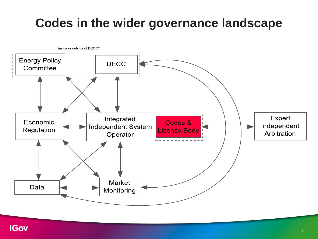#### **Codes in the wider governance landscape**

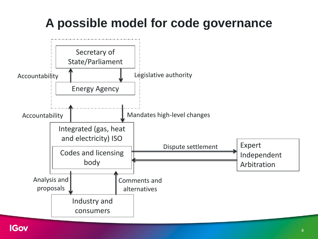# **A possible model for code governance**

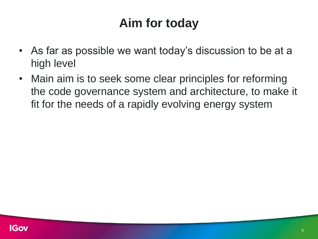### **Aim for today**

- As far as possible we want today's discussion to be at a high level
- Main aim is to seek some clear principles for reforming the code governance system and architecture, to make it fit for the needs of a rapidly evolving energy system